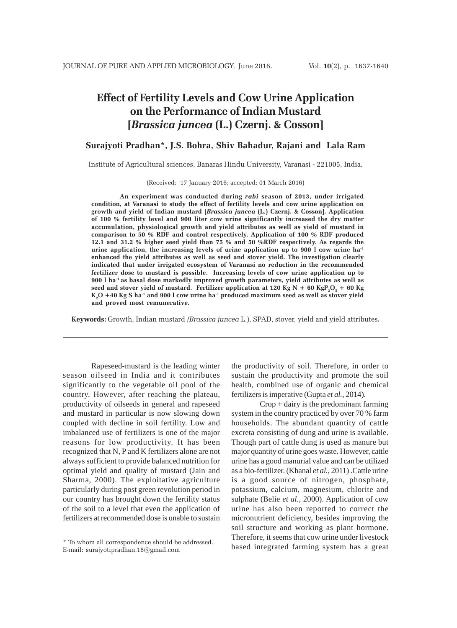# **Effect of Fertility Levels and Cow Urine Application on the Performance of Indian Mustard [***Brassica juncea* **(L.) Czernj. & Cosson]**

## **Surajyoti Pradhan\*, J.S. Bohra, Shiv Bahadur, Rajani and Lala Ram**

Institute of Agricultural sciences, Banaras Hindu University, Varanasi - 221005, India.

(Received: 17 January 2016; accepted: 01 March 2016)

**An experiment was conducted during** *rabi* **season of 2013, under irrigated condition, at Varanasi to study the effect of fertility levels and cow urine application on growth and yield of Indian mustard [***Brassica juncea* **(L.) Czernj. & Cosson]. Application of 100 % fertility level and 900 liter cow urine significantly increased the dry matter accumulation, physiological growth and yield attributes as well as yield of mustard in comparison to 50 % RDF and control respectively. Application of 100 % RDF produced 12.1 and 31.2 % higher seed yield than 75 % and 50 %RDF respectively. As regards the urine application, the increasing levels of urine application up to 900 l cow urine ha-1 enhanced the yield attributes as well as seed and stover yield. The investigation clearly indicated that under irrigated ecosystem of Varanasi no reduction in the recommended fertilizer dose to mustard is possible. Increasing levels of cow urine application up to 900 l ha-1 as basal dose markedly improved growth parameters, yield attributes as well as** seed and stover yield of mustard. Fertilizer application at 120 Kg N + 60 KgP<sub>2</sub>O<sub>5</sub> + 60 Kg **K2 O +40 Kg S ha-1 and 900 l cow urine ha-1 produced maximum seed as well as stover yield and proved most remunerative.**

**Keywords:** Growth, Indian mustard *(Brassica juncea* L.), SPAD, stover, yield and yield attributes**.**

Rapeseed-mustard is the leading winter season oilseed in India and it contributes significantly to the vegetable oil pool of the country. However, after reaching the plateau, productivity of oilseeds in general and rapeseed and mustard in particular is now slowing down coupled with decline in soil fertility. Low and imbalanced use of fertilizers is one of the major reasons for low productivity. It has been recognized that N, P and K fertilizers alone are not always sufficient to provide balanced nutrition for optimal yield and quality of mustard (Jain and Sharma, 2000). The exploitative agriculture particularly during post green revolution period in our country has brought down the fertility status of the soil to a level that even the application of fertilizers at recommended dose is unable to sustain the productivity of soil. Therefore, in order to sustain the productivity and promote the soil health, combined use of organic and chemical fertilizers is imperative (Gupta *et al.,* 2014).

Crop + dairy is the predominant farming system in the country practiced by over 70 % farm households. The abundant quantity of cattle excreta consisting of dung and urine is available. Though part of cattle dung is used as manure but major quantity of urine goes waste. However, cattle urine has a good manurial value and can be utilized as a bio-fertilizer. (Khanal *et al.*, 2011) .Cattle urine is a good source of nitrogen, phosphate, potassium, calcium, magnesium, chlorite and sulphate (Belie *et al.,* 2000). Application of cow urine has also been reported to correct the micronutrient deficiency, besides improving the soil structure and working as plant hormone. Therefore, it seems that cow urine under livestock based integrated farming system has a great

<sup>\*</sup> To whom all correspondence should be addressed. E-mail: surajyotipradhan.18@gmail.com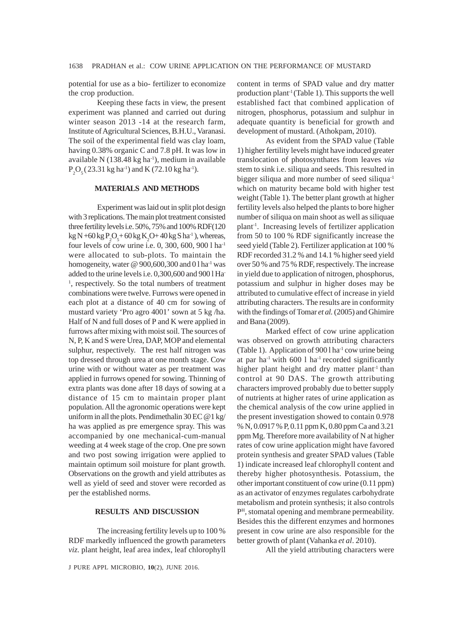potential for use as a bio- fertilizer to economize the crop production.

Keeping these facts in view, the present experiment was planned and carried out during winter season 2013 -14 at the research farm, Institute of Agricultural Sciences, B.H.U., Varanasi. The soil of the experimental field was clay loam, having 0.38% organic C and 7.8 pH. It was low in available N  $(138.48 \text{ kg} \text{ ha}^{-1})$ , medium in available  $P_2O_5(23.31 \text{ kg ha}^{-1})$  and K (72.10 kg ha<sup>-1</sup>).

#### **MATERIALS AND METHODS**

Experiment was laid out in split plot design with 3 replications. The main plot treatment consisted three fertility levels i.e. 50%, 75% and 100% RDF(120  $\text{kg N} + 60 \text{ kg} \text{ P}_2 \text{O}_5 + 60 \text{ kg} \text{ K}_2 \text{O} + 40 \text{ kg} \text{ S} \text{ h} \text{a}^{\text{-1}}$ ), whereas, four levels of cow urine i.e. 0, 300, 600, 900 l ha-1 were allocated to sub-plots. To maintain the homogeneity, water  $\omega$  900,600,300 and 0 l ha<sup>-1</sup> was added to the urine levels i.e. 0,300,600 and 900 l Ha-<sup>1</sup>, respectively. So the total numbers of treatment combinations were twelve. Furrows were opened in each plot at a distance of 40 cm for sowing of mustard variety 'Pro agro 4001' sown at 5 kg /ha. Half of N and full doses of P and K were applied in furrows after mixing with moist soil. The sources of N, P, K and S were Urea, DAP, MOP and elemental sulphur, respectively. The rest half nitrogen was top dressed through urea at one month stage. Cow urine with or without water as per treatment was applied in furrows opened for sowing. Thinning of extra plants was done after 18 days of sowing at a distance of 15 cm to maintain proper plant population. All the agronomic operations were kept uniform in all the plots. Pendimethalin 30 EC  $@1$  kg/ ha was applied as pre emergence spray. This was accompanied by one mechanical-cum-manual weeding at 4 week stage of the crop. One pre sown and two post sowing irrigation were applied to maintain optimum soil moisture for plant growth. Observations on the growth and yield attributes as well as yield of seed and stover were recorded as per the established norms.

### **RESULTS AND DISCUSSION**

The increasing fertility levels up to 100 % RDF markedly influenced the growth parameters *viz.* plant height, leaf area index, leaf chlorophyll

J PURE APPL MICROBIO*,* **10**(2), JUNE 2016.

content in terms of SPAD value and dry matter production plant<sup>-1</sup> (Table 1). This supports the well established fact that combined application of nitrogen, phosphorus, potassium and sulphur in adequate quantity is beneficial for growth and development of mustard. (Athokpam, 2010).

As evident from the SPAD value (Table 1) higher fertility levels might have induced greater translocation of photosynthates from leaves *via* stem to sink i.e. siliqua and seeds. This resulted in bigger siliqua and more number of seed siliqua<sup>1</sup> which on maturity became bold with higher test weight (Table 1). The better plant growth at higher fertility levels also helped the plants to bore higher number of siliqua on main shoot as well as siliquae plant-1. Increasing levels of fertilizer application from 50 to 100 % RDF significantly increase the seed yield (Table 2). Fertilizer application at 100 % RDF recorded 31.2 % and 14.1 % higher seed yield over 50 % and 75 % RDF, respectively. The increase in yield due to application of nitrogen, phosphorus, potassium and sulphur in higher doses may be attributed to cumulative effect of increase in yield attributing characters. The results are in conformity with the findings of Tomar *et al.* (2005) and Ghimire and Bana (2009).

Marked effect of cow urine application was observed on growth attributing characters (Table 1). Application of  $9001$  ha<sup>-1</sup> cow urine being at par ha<sup>-1</sup> with 600 l ha<sup>-1</sup> recorded significantly higher plant height and dry matter plant<sup>1</sup> than control at 90 DAS. The growth attributing characters improved probably due to better supply of nutrients at higher rates of urine application as the chemical analysis of the cow urine applied in the present investigation showed to contain 0.978 % N, 0.0917 % P, 0.11 ppm K, 0.80 ppm Ca and 3.21 ppm Mg. Therefore more availability of N at higher rates of cow urine application might have favored protein synthesis and greater SPAD values (Table 1) indicate increased leaf chlorophyll content and thereby higher photosynthesis. Potassium, the other important constituent of cow urine (0.11 ppm) as an activator of enzymes regulates carbohydrate metabolism and protein synthesis; it also controls PH, stomatal opening and membrane permeability. Besides this the different enzymes and hormones present in cow urine are also responsible for the better growth of plant (Vahanka *et al*. 2010).

All the yield attributing characters were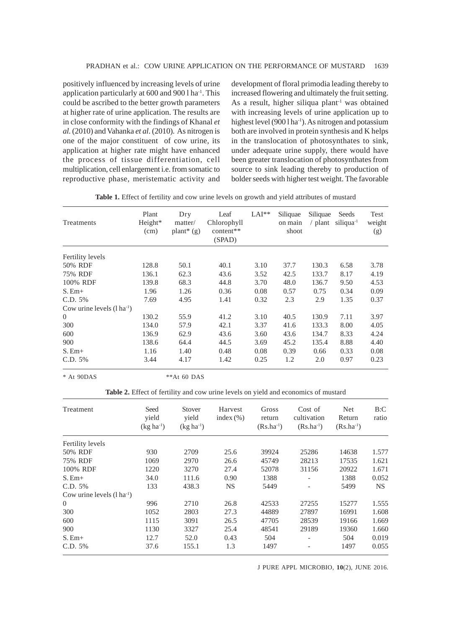positively influenced by increasing levels of urine application particularly at 600 and 900 l ha-1. This could be ascribed to the better growth parameters at higher rate of urine application. The results are in close conformity with the findings of Khanal *et al.* (2010) and Vahanka *et al*. (2010). As nitrogen is one of the major constituent of cow urine, its application at higher rate might have enhanced the process of tissue differentiation, cell multiplication, cell enlargement i.e. from somatic to reproductive phase, meristematic activity and development of floral primodia leading thereby to increased flowering and ultimately the fruit setting. As a result, higher siliqua plant<sup>-1</sup> was obtained with increasing levels of urine application up to highest level (900 l ha<sup>-1</sup>). As nitrogen and potassium both are involved in protein synthesis and K helps in the translocation of photosynthates to sink, under adequate urine supply, there would have been greater translocation of photosynthates from source to sink leading thereby to production of bolder seeds with higher test weight. The favorable

| Treatments                        | Plant<br>Height*<br>(cm) | Dry<br>matter/<br>plant <sup>*</sup> $(g)$ | Leaf<br>Chlorophyll<br>content**<br>(SPAD) | $LAI**$ | Siliquae<br>on main<br>shoot | Siliquae<br>$/$ plant | Seeds<br>$siliqua^{-1}$ | Test<br>weight<br>(g) |
|-----------------------------------|--------------------------|--------------------------------------------|--------------------------------------------|---------|------------------------------|-----------------------|-------------------------|-----------------------|
| <b>Fertility levels</b>           |                          |                                            |                                            |         |                              |                       |                         |                       |
| 50% RDF                           | 128.8                    | 50.1                                       | 40.1                                       | 3.10    | 37.7                         | 130.3                 | 6.58                    | 3.78                  |
| 75% RDF                           | 136.1                    | 62.3                                       | 43.6                                       | 3.52    | 42.5                         | 133.7                 | 8.17                    | 4.19                  |
| 100% RDF                          | 139.8                    | 68.3                                       | 44.8                                       | 3.70    | 48.0                         | 136.7                 | 9.50                    | 4.53                  |
| $S.$ Em $+$                       | 1.96                     | 1.26                                       | 0.36                                       | 0.08    | 0.57                         | 0.75                  | 0.34                    | 0.09                  |
| C.D. 5%                           | 7.69                     | 4.95                                       | 1.41                                       | 0.32    | 2.3                          | 2.9                   | 1.35                    | 0.37                  |
| Cow urine levels $(l \, ha^{-1})$ |                          |                                            |                                            |         |                              |                       |                         |                       |
| $\overline{0}$                    | 130.2                    | 55.9                                       | 41.2                                       | 3.10    | 40.5                         | 130.9                 | 7.11                    | 3.97                  |
| 300                               | 134.0                    | 57.9                                       | 42.1                                       | 3.37    | 41.6                         | 133.3                 | 8.00                    | 4.05                  |
| 600                               | 136.9                    | 62.9                                       | 43.6                                       | 3.60    | 43.6                         | 134.7                 | 8.33                    | 4.24                  |
| 900                               | 138.6                    | 64.4                                       | 44.5                                       | 3.69    | 45.2                         | 135.4                 | 8.88                    | 4.40                  |
| $S.$ Em $+$                       | 1.16                     | 1.40                                       | 0.48                                       | 0.08    | 0.39                         | 0.66                  | 0.33                    | 0.08                  |
| C.D. 5%                           | 3.44                     | 4.17                                       | 1.42                                       | 0.25    | 1.2                          | 2.0                   | 0.97                    | 0.23                  |

**Table 1.** Effect of fertility and cow urine levels on growth and yield attributes of mustard

\* At 90DAS \*\*At 60 DAS

**Table 2.** Effect of fertility and cow urine levels on yield and economics of mustard

| Treatment                         | Seed<br>vield<br>$(kg ha^{-1})$ | Stover<br>vield<br>$(kg ha^{-1})$ | Harvest<br>index $(\% )$ | Gross<br>return<br>$(Rs.ha^{-1})$ | Cost of<br>cultivation<br>$(Rs.ha^{-1})$ | Net<br>Return<br>$(Rs.ha^{-1})$ | B:C<br>ratio |
|-----------------------------------|---------------------------------|-----------------------------------|--------------------------|-----------------------------------|------------------------------------------|---------------------------------|--------------|
| Fertility levels                  |                                 |                                   |                          |                                   |                                          |                                 |              |
| 50% RDF                           | 930                             | 2709                              | 25.6                     | 39924                             | 25286                                    | 14638                           | 1.577        |
| 75% RDF                           | 1069                            | 2970                              | 26.6                     | 45749                             | 28213                                    | 17535                           | 1.621        |
| 100% RDF                          | 1220                            | 3270                              | 27.4                     | 52078                             | 31156                                    | 20922                           | 1.671        |
| $S.$ Em $+$                       | 34.0                            | 111.6                             | 0.90                     | 1388                              | $\overline{\phantom{a}}$                 | 1388                            | 0.052        |
| C.D. 5%                           | 133                             | 438.3                             | <b>NS</b>                | 5449                              | $\overline{\phantom{a}}$                 | 5499                            | NS.          |
| Cow urine levels $(l \, ha^{-1})$ |                                 |                                   |                          |                                   |                                          |                                 |              |
| $\overline{0}$                    | 996                             | 2710                              | 26.8                     | 42533                             | 27255                                    | 15277                           | 1.555        |
| 300                               | 1052                            | 2803                              | 27.3                     | 44889                             | 27897                                    | 16991                           | 1.608        |
| 600                               | 1115                            | 3091                              | 26.5                     | 47705                             | 28539                                    | 19166                           | 1.669        |
| 900                               | 1130                            | 3327                              | 25.4                     | 48541                             | 29189                                    | 19360                           | 1.660        |
| $S.$ Em $+$                       | 12.7                            | 52.0                              | 0.43                     | 504                               | $\overline{\phantom{a}}$                 | 504                             | 0.019        |
| C.D. 5%                           | 37.6                            | 155.1                             | 1.3                      | 1497                              |                                          | 1497                            | 0.055        |

J PURE APPL MICROBIO*,* **10**(2), JUNE 2016.